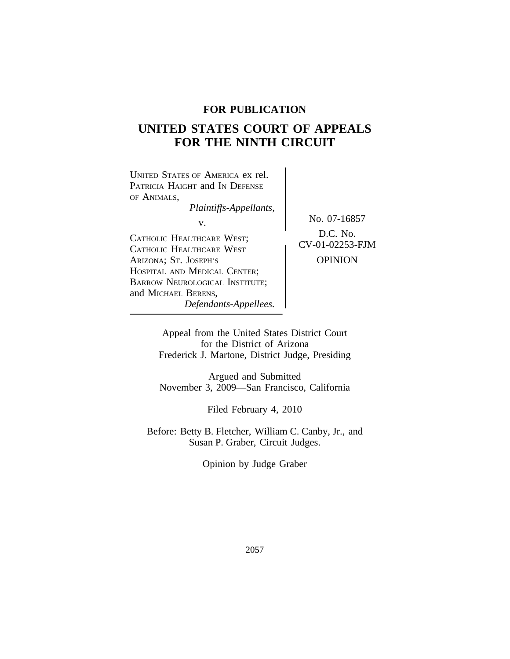# **FOR PUBLICATION**

# **UNITED STATES COURT OF APPEALS FOR THE NINTH CIRCUIT**



Appeal from the United States District Court for the District of Arizona Frederick J. Martone, District Judge, Presiding

Argued and Submitted November 3, 2009—San Francisco, California

Filed February 4, 2010

Before: Betty B. Fletcher, William C. Canby, Jr., and Susan P. Graber, Circuit Judges.

Opinion by Judge Graber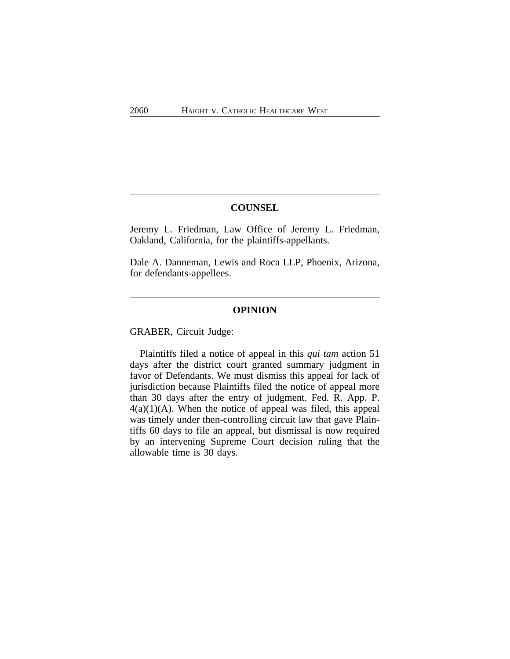# **COUNSEL**

Jeremy L. Friedman, Law Office of Jeremy L. Friedman, Oakland, California, for the plaintiffs-appellants.

Dale A. Danneman, Lewis and Roca LLP, Phoenix, Arizona, for defendants-appellees.

#### **OPINION**

GRABER, Circuit Judge:

Plaintiffs filed a notice of appeal in this *qui tam* action 51 days after the district court granted summary judgment in favor of Defendants. We must dismiss this appeal for lack of jurisdiction because Plaintiffs filed the notice of appeal more than 30 days after the entry of judgment. Fed. R. App. P.  $4(a)(1)(A)$ . When the notice of appeal was filed, this appeal was timely under then-controlling circuit law that gave Plaintiffs 60 days to file an appeal, but dismissal is now required by an intervening Supreme Court decision ruling that the allowable time is 30 days.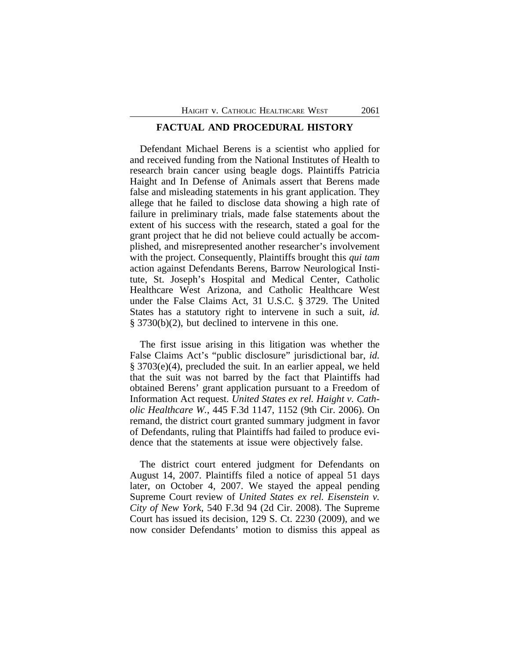### **FACTUAL AND PROCEDURAL HISTORY**

Defendant Michael Berens is a scientist who applied for and received funding from the National Institutes of Health to research brain cancer using beagle dogs. Plaintiffs Patricia Haight and In Defense of Animals assert that Berens made false and misleading statements in his grant application. They allege that he failed to disclose data showing a high rate of failure in preliminary trials, made false statements about the extent of his success with the research, stated a goal for the grant project that he did not believe could actually be accomplished, and misrepresented another researcher's involvement with the project. Consequently, Plaintiffs brought this *qui tam* action against Defendants Berens, Barrow Neurological Institute, St. Joseph's Hospital and Medical Center, Catholic Healthcare West Arizona, and Catholic Healthcare West under the False Claims Act, 31 U.S.C. § 3729. The United States has a statutory right to intervene in such a suit, *id.* § 3730(b)(2), but declined to intervene in this one.

The first issue arising in this litigation was whether the False Claims Act's "public disclosure" jurisdictional bar, *id.* § 3703(e)(4), precluded the suit. In an earlier appeal, we held that the suit was not barred by the fact that Plaintiffs had obtained Berens' grant application pursuant to a Freedom of Information Act request. *United States ex rel. Haight v. Catholic Healthcare W.*, 445 F.3d 1147, 1152 (9th Cir. 2006). On remand, the district court granted summary judgment in favor of Defendants, ruling that Plaintiffs had failed to produce evidence that the statements at issue were objectively false.

The district court entered judgment for Defendants on August 14, 2007. Plaintiffs filed a notice of appeal 51 days later, on October 4, 2007. We stayed the appeal pending Supreme Court review of *United States ex rel. Eisenstein v. City of New York*, 540 F.3d 94 (2d Cir. 2008). The Supreme Court has issued its decision, 129 S. Ct. 2230 (2009), and we now consider Defendants' motion to dismiss this appeal as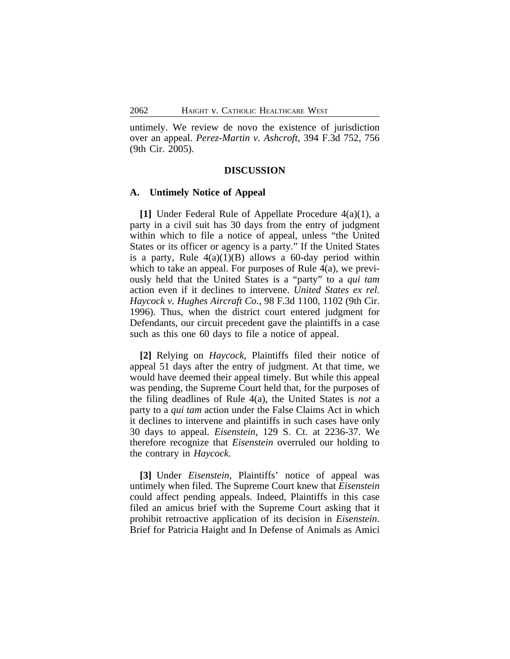untimely. We review de novo the existence of jurisdiction over an appeal. *Perez-Martin v. Ashcroft*, 394 F.3d 752, 756 (9th Cir. 2005).

#### **DISCUSSION**

#### **A. Untimely Notice of Appeal**

**[1]** Under Federal Rule of Appellate Procedure 4(a)(1), a party in a civil suit has 30 days from the entry of judgment within which to file a notice of appeal, unless "the United States or its officer or agency is a party." If the United States is a party, Rule  $4(a)(1)(B)$  allows a 60-day period within which to take an appeal. For purposes of Rule 4(a), we previously held that the United States is a "party" to a *qui tam* action even if it declines to intervene. *United States ex rel. Haycock v. Hughes Aircraft Co.*, 98 F.3d 1100, 1102 (9th Cir. 1996). Thus, when the district court entered judgment for Defendants, our circuit precedent gave the plaintiffs in a case such as this one 60 days to file a notice of appeal.

**[2]** Relying on *Haycock*, Plaintiffs filed their notice of appeal 51 days after the entry of judgment. At that time, we would have deemed their appeal timely. But while this appeal was pending, the Supreme Court held that, for the purposes of the filing deadlines of Rule 4(a), the United States is *not* a party to a *qui tam* action under the False Claims Act in which it declines to intervene and plaintiffs in such cases have only 30 days to appeal. *Eisenstein*, 129 S. Ct. at 2236-37. We therefore recognize that *Eisenstein* overruled our holding to the contrary in *Haycock*.

**[3]** Under *Eisenstein*, Plaintiffs' notice of appeal was untimely when filed. The Supreme Court knew that *Eisenstein* could affect pending appeals. Indeed, Plaintiffs in this case filed an amicus brief with the Supreme Court asking that it prohibit retroactive application of its decision in *Eisenstein*. Brief for Patricia Haight and In Defense of Animals as Amici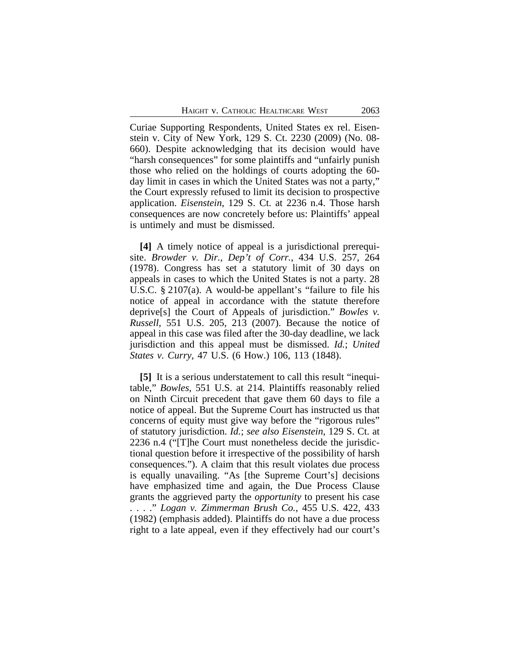Curiae Supporting Respondents, United States ex rel. Eisenstein v. City of New York, 129 S. Ct. 2230 (2009) (No. 08- 660). Despite acknowledging that its decision would have "harsh consequences" for some plaintiffs and "unfairly punish those who relied on the holdings of courts adopting the 60 day limit in cases in which the United States was not a party," the Court expressly refused to limit its decision to prospective application. *Eisenstein*, 129 S. Ct. at 2236 n.4. Those harsh consequences are now concretely before us: Plaintiffs' appeal is untimely and must be dismissed.

**[4]** A timely notice of appeal is a jurisdictional prerequisite. *Browder v. Dir., Dep't of Corr.*, 434 U.S. 257, 264 (1978). Congress has set a statutory limit of 30 days on appeals in cases to which the United States is not a party. 28 U.S.C. § 2107(a). A would-be appellant's "failure to file his notice of appeal in accordance with the statute therefore deprive[s] the Court of Appeals of jurisdiction." *Bowles v. Russell*, 551 U.S. 205, 213 (2007). Because the notice of appeal in this case was filed after the 30-day deadline, we lack jurisdiction and this appeal must be dismissed. *Id.*; *United States v. Curry*, 47 U.S. (6 How.) 106, 113 (1848).

**[5]** It is a serious understatement to call this result "inequitable," *Bowles*, 551 U.S. at 214. Plaintiffs reasonably relied on Ninth Circuit precedent that gave them 60 days to file a notice of appeal. But the Supreme Court has instructed us that concerns of equity must give way before the "rigorous rules" of statutory jurisdiction. *Id.*; *see also Eisenstein*, 129 S. Ct. at 2236 n.4 ("[T]he Court must nonetheless decide the jurisdictional question before it irrespective of the possibility of harsh consequences."). A claim that this result violates due process is equally unavailing. "As [the Supreme Court's] decisions have emphasized time and again, the Due Process Clause grants the aggrieved party the *opportunity* to present his case . . . ." *Logan v. Zimmerman Brush Co.*, 455 U.S. 422, 433 (1982) (emphasis added). Plaintiffs do not have a due process right to a late appeal, even if they effectively had our court's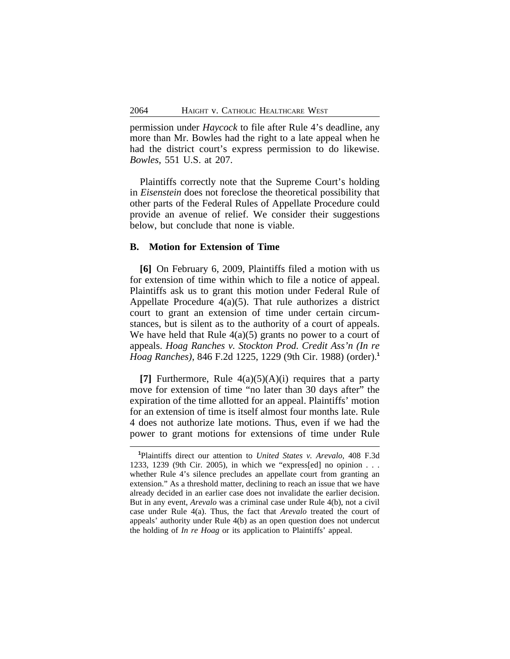permission under *Haycock* to file after Rule 4's deadline, any more than Mr. Bowles had the right to a late appeal when he had the district court's express permission to do likewise. *Bowles*, 551 U.S. at 207.

Plaintiffs correctly note that the Supreme Court's holding in *Eisenstein* does not foreclose the theoretical possibility that other parts of the Federal Rules of Appellate Procedure could provide an avenue of relief. We consider their suggestions below, but conclude that none is viable.

# **B. Motion for Extension of Time**

**[6]** On February 6, 2009, Plaintiffs filed a motion with us for extension of time within which to file a notice of appeal. Plaintiffs ask us to grant this motion under Federal Rule of Appellate Procedure 4(a)(5). That rule authorizes a district court to grant an extension of time under certain circumstances, but is silent as to the authority of a court of appeals. We have held that Rule  $4(a)(5)$  grants no power to a court of appeals. *Hoag Ranches v. Stockton Prod. Credit Ass'n (In re Hoag Ranches)*, 846 F.2d 1225, 1229 (9th Cir. 1988) (order).**<sup>1</sup>**

**[7]** Furthermore, Rule 4(a)(5)(A)(i) requires that a party move for extension of time "no later than 30 days after" the expiration of the time allotted for an appeal. Plaintiffs' motion for an extension of time is itself almost four months late. Rule 4 does not authorize late motions. Thus, even if we had the power to grant motions for extensions of time under Rule

**<sup>1</sup>**Plaintiffs direct our attention to *United States v. Arevalo*, 408 F.3d 1233, 1239 (9th Cir. 2005), in which we "express[ed] no opinion . . . whether Rule 4's silence precludes an appellate court from granting an extension." As a threshold matter, declining to reach an issue that we have already decided in an earlier case does not invalidate the earlier decision. But in any event, *Arevalo* was a criminal case under Rule 4(b), not a civil case under Rule 4(a). Thus, the fact that *Arevalo* treated the court of appeals' authority under Rule 4(b) as an open question does not undercut the holding of *In re Hoag* or its application to Plaintiffs' appeal.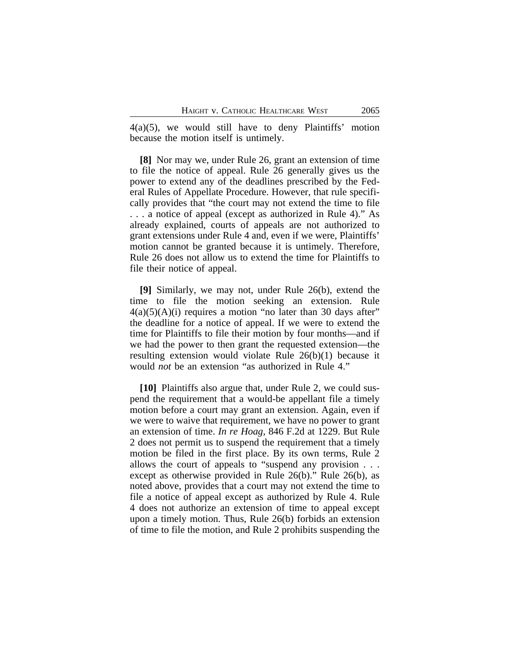4(a)(5), we would still have to deny Plaintiffs' motion because the motion itself is untimely.

**[8]** Nor may we, under Rule 26, grant an extension of time to file the notice of appeal. Rule 26 generally gives us the power to extend any of the deadlines prescribed by the Federal Rules of Appellate Procedure. However, that rule specifically provides that "the court may not extend the time to file . . . a notice of appeal (except as authorized in Rule 4)." As already explained, courts of appeals are not authorized to grant extensions under Rule 4 and, even if we were, Plaintiffs' motion cannot be granted because it is untimely. Therefore, Rule 26 does not allow us to extend the time for Plaintiffs to file their notice of appeal.

**[9]** Similarly, we may not, under Rule 26(b), extend the time to file the motion seeking an extension. Rule  $4(a)(5)(A)(i)$  requires a motion "no later than 30 days after" the deadline for a notice of appeal. If we were to extend the time for Plaintiffs to file their motion by four months—and if we had the power to then grant the requested extension—the resulting extension would violate Rule 26(b)(1) because it would *not* be an extension "as authorized in Rule 4."

**[10]** Plaintiffs also argue that, under Rule 2, we could suspend the requirement that a would-be appellant file a timely motion before a court may grant an extension. Again, even if we were to waive that requirement, we have no power to grant an extension of time. *In re Hoag*, 846 F.2d at 1229. But Rule 2 does not permit us to suspend the requirement that a timely motion be filed in the first place. By its own terms, Rule 2 allows the court of appeals to "suspend any provision . . . except as otherwise provided in Rule 26(b)." Rule 26(b), as noted above, provides that a court may not extend the time to file a notice of appeal except as authorized by Rule 4. Rule 4 does not authorize an extension of time to appeal except upon a timely motion. Thus, Rule 26(b) forbids an extension of time to file the motion, and Rule 2 prohibits suspending the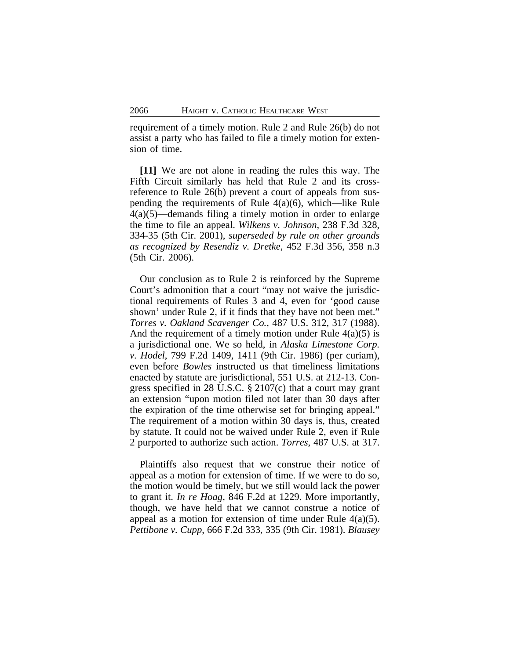requirement of a timely motion. Rule 2 and Rule 26(b) do not assist a party who has failed to file a timely motion for extension of time.

**[11]** We are not alone in reading the rules this way. The Fifth Circuit similarly has held that Rule 2 and its crossreference to Rule 26(b) prevent a court of appeals from suspending the requirements of Rule 4(a)(6), which—like Rule 4(a)(5)—demands filing a timely motion in order to enlarge the time to file an appeal. *Wilkens v. Johnson*, 238 F.3d 328, 334-35 (5th Cir. 2001), *superseded by rule on other grounds as recognized by Resendiz v. Dretke*, 452 F.3d 356, 358 n.3 (5th Cir. 2006).

Our conclusion as to Rule 2 is reinforced by the Supreme Court's admonition that a court "may not waive the jurisdictional requirements of Rules 3 and 4, even for 'good cause shown' under Rule 2, if it finds that they have not been met." *Torres v. Oakland Scavenger Co.*, 487 U.S. 312, 317 (1988). And the requirement of a timely motion under Rule  $4(a)(5)$  is a jurisdictional one. We so held, in *Alaska Limestone Corp. v. Hodel*, 799 F.2d 1409, 1411 (9th Cir. 1986) (per curiam), even before *Bowles* instructed us that timeliness limitations enacted by statute are jurisdictional, 551 U.S. at 212-13. Congress specified in 28 U.S.C. § 2107(c) that a court may grant an extension "upon motion filed not later than 30 days after the expiration of the time otherwise set for bringing appeal." The requirement of a motion within 30 days is, thus, created by statute. It could not be waived under Rule 2, even if Rule 2 purported to authorize such action. *Torres*, 487 U.S. at 317.

Plaintiffs also request that we construe their notice of appeal as a motion for extension of time. If we were to do so, the motion would be timely, but we still would lack the power to grant it. *In re Hoag*, 846 F.2d at 1229. More importantly, though, we have held that we cannot construe a notice of appeal as a motion for extension of time under Rule  $4(a)(5)$ . *Pettibone v. Cupp*, 666 F.2d 333, 335 (9th Cir. 1981). *Blausey*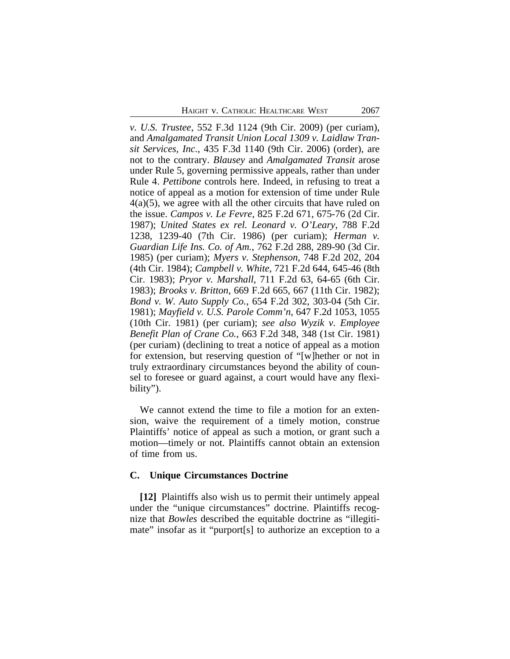*v. U.S. Trustee*, 552 F.3d 1124 (9th Cir. 2009) (per curiam), and *Amalgamated Transit Union Local 1309 v. Laidlaw Transit Services, Inc.*, 435 F.3d 1140 (9th Cir. 2006) (order), are not to the contrary. *Blausey* and *Amalgamated Transit* arose under Rule 5, governing permissive appeals, rather than under Rule 4. *Pettibone* controls here. Indeed, in refusing to treat a notice of appeal as a motion for extension of time under Rule 4(a)(5), we agree with all the other circuits that have ruled on the issue. *Campos v. Le Fevre*, 825 F.2d 671, 675-76 (2d Cir. 1987); *United States ex rel. Leonard v. O'Leary*, 788 F.2d 1238, 1239-40 (7th Cir. 1986) (per curiam); *Herman v. Guardian Life Ins. Co. of Am.*, 762 F.2d 288, 289-90 (3d Cir. 1985) (per curiam); *Myers v. Stephenson*, 748 F.2d 202, 204 (4th Cir. 1984); *Campbell v. White*, 721 F.2d 644, 645-46 (8th Cir. 1983); *Pryor v. Marshall*, 711 F.2d 63, 64-65 (6th Cir. 1983); *Brooks v. Britton*, 669 F.2d 665, 667 (11th Cir. 1982); *Bond v. W. Auto Supply Co.*, 654 F.2d 302, 303-04 (5th Cir. 1981); *Mayfield v. U.S. Parole Comm'n*, 647 F.2d 1053, 1055 (10th Cir. 1981) (per curiam); *see also Wyzik v. Employee Benefit Plan of Crane Co.*, 663 F.2d 348, 348 (1st Cir. 1981) (per curiam) (declining to treat a notice of appeal as a motion for extension, but reserving question of "[w]hether or not in truly extraordinary circumstances beyond the ability of counsel to foresee or guard against, a court would have any flexibility").

We cannot extend the time to file a motion for an extension, waive the requirement of a timely motion, construe Plaintiffs' notice of appeal as such a motion, or grant such a motion—timely or not. Plaintiffs cannot obtain an extension of time from us.

#### **C. Unique Circumstances Doctrine**

**[12]** Plaintiffs also wish us to permit their untimely appeal under the "unique circumstances" doctrine. Plaintiffs recognize that *Bowles* described the equitable doctrine as "illegitimate" insofar as it "purport[s] to authorize an exception to a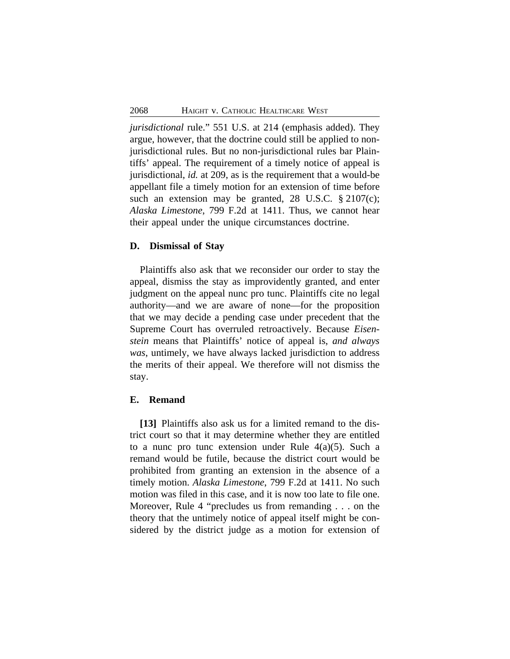*jurisdictional* rule." 551 U.S. at 214 (emphasis added). They argue, however, that the doctrine could still be applied to nonjurisdictional rules. But no non-jurisdictional rules bar Plaintiffs' appeal. The requirement of a timely notice of appeal is jurisdictional, *id.* at 209, as is the requirement that a would-be appellant file a timely motion for an extension of time before such an extension may be granted, 28 U.S.C. § 2107(c); *Alaska Limestone*, 799 F.2d at 1411. Thus, we cannot hear their appeal under the unique circumstances doctrine.

## **D. Dismissal of Stay**

Plaintiffs also ask that we reconsider our order to stay the appeal, dismiss the stay as improvidently granted, and enter judgment on the appeal nunc pro tunc. Plaintiffs cite no legal authority—and we are aware of none—for the proposition that we may decide a pending case under precedent that the Supreme Court has overruled retroactively. Because *Eisenstein* means that Plaintiffs' notice of appeal is, *and always was*, untimely, we have always lacked jurisdiction to address the merits of their appeal. We therefore will not dismiss the stay.

### **E. Remand**

**[13]** Plaintiffs also ask us for a limited remand to the district court so that it may determine whether they are entitled to a nunc pro tunc extension under Rule 4(a)(5). Such a remand would be futile, because the district court would be prohibited from granting an extension in the absence of a timely motion. *Alaska Limestone*, 799 F.2d at 1411. No such motion was filed in this case, and it is now too late to file one. Moreover, Rule 4 "precludes us from remanding . . . on the theory that the untimely notice of appeal itself might be considered by the district judge as a motion for extension of